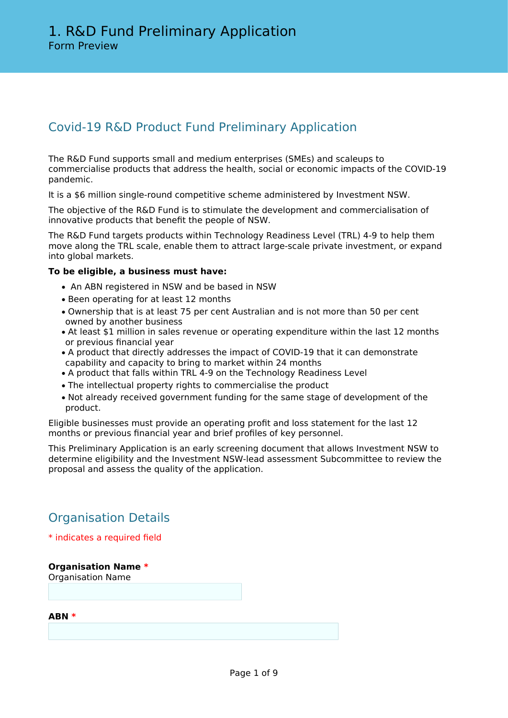# Covid-19 R&D Product Fund Preliminary Application

The R&D Fund supports small and medium enterprises (SMEs) and scaleups to commercialise products that address the health, social or economic impacts of the COVID-19 pandemic.

It is a \$6 million single-round competitive scheme administered by Investment NSW.

The objective of the R&D Fund is to stimulate the development and commercialisation of innovative products that benefit the people of NSW.

The R&D Fund targets products within Technology Readiness Level (TRL) 4-9 to help them move along the TRL scale, enable them to attract large-scale private investment, or expand into global markets.

## **To be eligible, a business must have:**

- An ABN registered in NSW and be based in NSW
- Been operating for at least 12 months
- Ownership that is at least 75 per cent Australian and is not more than 50 per cent owned by another business
- At least \$1 million in sales revenue or operating expenditure within the last 12 months or previous financial year
- A product that directly addresses the impact of COVID-19 that it can demonstrate capability and capacity to bring to market within 24 months
- A product that falls within TRL 4-9 on the Technology Readiness Level
- The intellectual property rights to commercialise the product
- Not already received government funding for the same stage of development of the product.

Eligible businesses must provide an operating profit and loss statement for the last 12 months or previous financial year and brief profiles of key personnel.

This Preliminary Application is an early screening document that allows Investment NSW to determine eligibility and the Investment NSW-lead assessment Subcommittee to review the proposal and assess the quality of the application.

# Organisation Details

## \* indicates a required field

**Organisation Name \*** Organisation Name

**ABN \***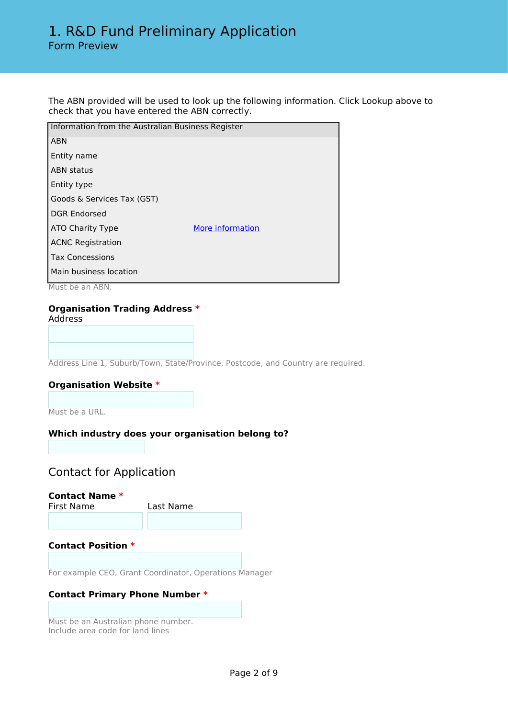# 1. R&D Fund Preliminary Application Form Preview

The ABN provided will be used to look up the following information. Click Lookup above to check that you have entered the ABN correctly.

| Information from the Australian Business Register |  |  |
|---------------------------------------------------|--|--|
| <b>ABN</b>                                        |  |  |
| Entity name                                       |  |  |
| <b>ABN status</b>                                 |  |  |
| Entity type                                       |  |  |
| Goods & Services Tax (GST)                        |  |  |
| <b>DGR Endorsed</b>                               |  |  |
| More information<br>ATO Charity Type              |  |  |
| <b>ACNC Registration</b>                          |  |  |
| <b>Tax Concessions</b>                            |  |  |
| Main business location                            |  |  |
|                                                   |  |  |

Must be an ABN.

### **Organisation Trading Address \***

Address

Address Line 1, Suburb/Town, State/Province, Postcode, and Country are required.

#### **Organisation Website \***

Must be a URL.

#### **Which industry does your organisation belong to?**

# Contact for Application

**Contact Name \***

First Name Last Name

#### **Contact Position \***

For example CEO, Grant Coordinator, Operations Manager

#### **Contact Primary Phone Number \***

Must be an Australian phone number. Include area code for land lines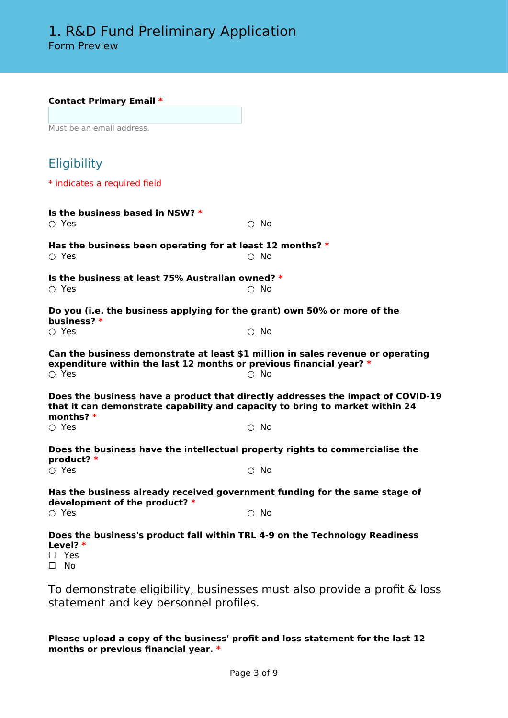#### **Contact Primary Email \***

Must be an email address.

| <b>Eligibility</b>                                                                                                                                                             |               |  |  |  |  |
|--------------------------------------------------------------------------------------------------------------------------------------------------------------------------------|---------------|--|--|--|--|
| * indicates a required field                                                                                                                                                   |               |  |  |  |  |
| Is the business based in NSW? $*$<br>$\circ$ Yes                                                                                                                               | $\circ$ No    |  |  |  |  |
| Has the business been operating for at least 12 months? $*$<br>$\bigcirc$ Yes                                                                                                  | $\circ$ No    |  |  |  |  |
| Is the business at least 75% Australian owned? *<br>$\circ$ Yes                                                                                                                | $\bigcirc$ No |  |  |  |  |
| Do you (i.e. the business applying for the grant) own 50% or more of the<br>business? *<br>$\circ$ Yes                                                                         | $\bigcirc$ No |  |  |  |  |
| Can the business demonstrate at least \$1 million in sales revenue or operating<br>expenditure within the last 12 months or previous financial year? *<br>$\circ$ Yes          | $\bigcirc$ No |  |  |  |  |
| Does the business have a product that directly addresses the impact of COVID-19<br>that it can demonstrate capability and capacity to bring to market within 24<br>months? $*$ |               |  |  |  |  |
| $\circ$ Yes                                                                                                                                                                    | $\bigcirc$ No |  |  |  |  |
| Does the business have the intellectual property rights to commercialise the<br>product? *                                                                                     |               |  |  |  |  |
| $\bigcirc$ Yes                                                                                                                                                                 | $\bigcirc$ No |  |  |  |  |
| Has the business already received government funding for the same stage of<br>development of the product? *                                                                    |               |  |  |  |  |
| $\circ$ Yes                                                                                                                                                                    | $\circ$ No    |  |  |  |  |
| Does the business's product fall within TRL 4-9 on the Technology Readiness                                                                                                    |               |  |  |  |  |

**Level? \***

☐ Yes

☐ No

To demonstrate eligibility, businesses must also provide a profit & loss statement and key personnel profiles.

## **Please upload a copy of the business' profit and loss statement for the last 12 months or previous financial year. \***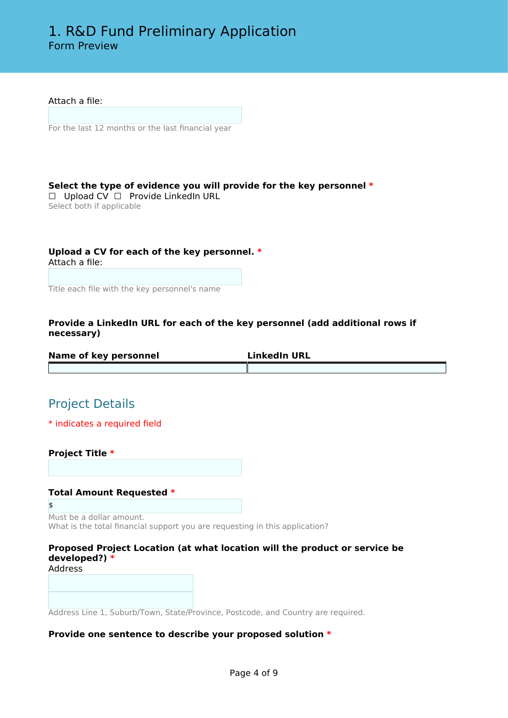Attach a file:

For the last 12 months or the last financial year

## **Select the type of evidence you will provide for the key personnel \***

☐ Upload CV ☐ Provide LinkedIn URL Select both if applicable

#### **Upload a CV for each of the key personnel. \*** Attach a file:

Title each file with the key personnel's name

#### **Provide a LinkedIn URL for each of the key personnel (add additional rows if necessary)**

| Name of key personnel | <b>LinkedIn URL</b> |
|-----------------------|---------------------|
|                       |                     |

# Project Details

\* indicates a required field

**Project Title \***

#### **Total Amount Requested \***

\$ Must be a dollar amount. What is the total financial support you are requesting in this application?

## **Proposed Project Location (at what location will the product or service be developed?) \***

Address

Address Line 1, Suburb/Town, State/Province, Postcode, and Country are required.

#### **Provide one sentence to describe your proposed solution \***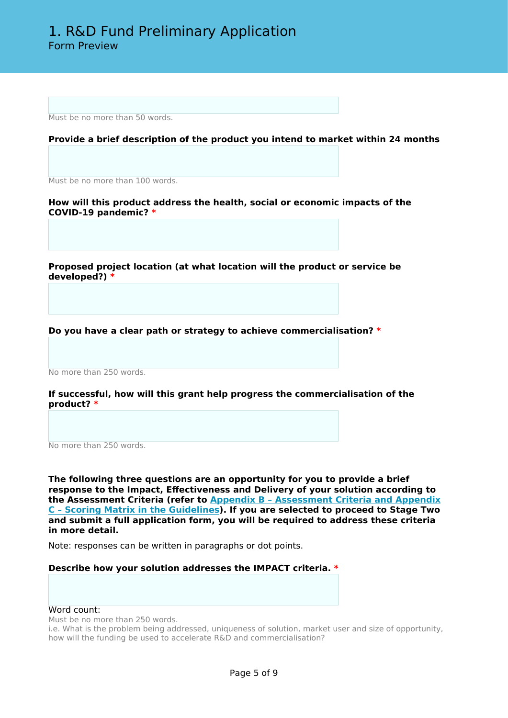Must be no more than 50 words.

#### **Provide a brief description of the product you intend to market within 24 months**

Must be no more than 100 words.

**How will this product address the health, social or economic impacts of the COVID-19 pandemic? \***

**Proposed project location (at what location will the product or service be developed?) \***

**Do you have a clear path or strategy to achieve commercialisation? \***

No more than 250 words.

**If successful, how will this grant help progress the commercialisation of the product? \***

No more than 250 words.

**The following three questions are an opportunity for you to provide a brief response to the Impact, Effectiveness and Delivery of your solution according to the Assessment Criteria (refer to [Appendix B – Assessment Criteria and Appendix](https://www.business.nsw.gov.au/__data/assets/pdf_file/0007/400210/R-and-D-Fund-Guidelines.pdf) [C – Scoring Matrix in the Guidelines](https://www.business.nsw.gov.au/__data/assets/pdf_file/0007/400210/R-and-D-Fund-Guidelines.pdf)). If you are selected to proceed to Stage Two and submit a full application form, you will be required to address these criteria in more detail.**

Note: responses can be written in paragraphs or dot points.

#### **Describe how your solution addresses the IMPACT criteria. \***

#### Word count:

Must be no more than 250 words.

i.e. What is the problem being addressed, uniqueness of solution, market user and size of opportunity, how will the funding be used to accelerate R&D and commercialisation?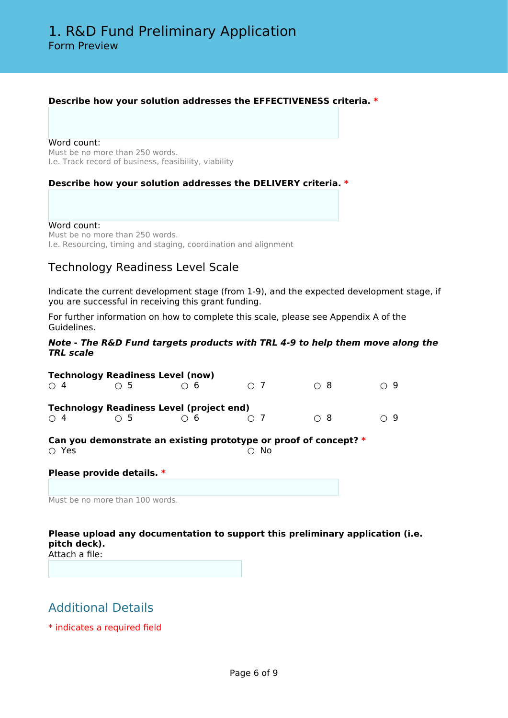### **Describe how your solution addresses the EFFECTIVENESS criteria. \***

Word count: Must be no more than 250 words. I.e. Track record of business, feasibility, viability

#### **Describe how your solution addresses the DELIVERY criteria. \***

#### Word count:

Must be no more than 250 words. I.e. Resourcing, timing and staging, coordination and alignment

## Technology Readiness Level Scale

Indicate the current development stage (from 1-9), and the expected development stage, if you are successful in receiving this grant funding.

For further information on how to complete this scale, please see Appendix A of the Guidelines.

#### *Note - The R&D Fund targets products with TRL 4-9 to help them move along the TRL scale*

|                                                                                       | <b>Technology Readiness Level (now)</b>         |          |          |     |          |  |  |
|---------------------------------------------------------------------------------------|-------------------------------------------------|----------|----------|-----|----------|--|--|
| $\bigcirc$ 4                                                                          | $\circ$ 5                                       | 6        | $\cap$ 7 | ∩ 8 | $\cap$ 9 |  |  |
|                                                                                       | <b>Technology Readiness Level (project end)</b> |          |          |     |          |  |  |
| $\bigcirc$ 4                                                                          | $\bigcirc$ 5                                    | $\cap$ 6 | $\cap$ 7 | ∩ 8 | $\cap$ 9 |  |  |
| Can you demonstrate an existing prototype or proof of concept? *<br>$\circ$ Yes<br>No |                                                 |          |          |     |          |  |  |
|                                                                                       | Please provide details. *                       |          |          |     |          |  |  |
|                                                                                       |                                                 |          |          |     |          |  |  |
|                                                                                       | Must be no more than 100 words.                 |          |          |     |          |  |  |

## **Please upload any documentation to support this preliminary application (i.e. pitch deck).**

Attach a file:

# Additional Details

\* indicates a required field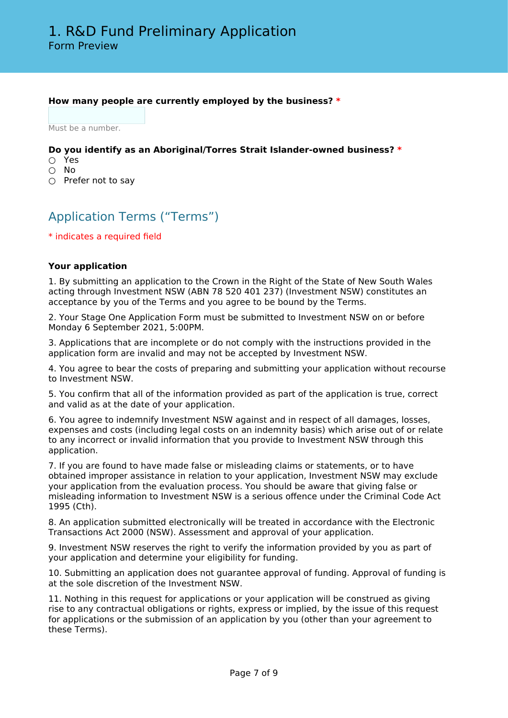### **How many people are currently employed by the business? \***

Must be a number.

#### **Do you identify as an Aboriginal/Torres Strait Islander-owned business? \***

- Yes
- No
- Prefer not to say

# Application Terms ("Terms")

\* indicates a required field

#### **Your application**

1. By submitting an application to the Crown in the Right of the State of New South Wales acting through Investment NSW (ABN 78 520 401 237) (Investment NSW) constitutes an acceptance by you of the Terms and you agree to be bound by the Terms.

2. Your Stage One Application Form must be submitted to Investment NSW on or before Monday 6 September 2021, 5:00PM.

3. Applications that are incomplete or do not comply with the instructions provided in the application form are invalid and may not be accepted by Investment NSW.

4. You agree to bear the costs of preparing and submitting your application without recourse to Investment NSW.

5. You confirm that all of the information provided as part of the application is true, correct and valid as at the date of your application.

6. You agree to indemnify Investment NSW against and in respect of all damages, losses, expenses and costs (including legal costs on an indemnity basis) which arise out of or relate to any incorrect or invalid information that you provide to Investment NSW through this application.

7. If you are found to have made false or misleading claims or statements, or to have obtained improper assistance in relation to your application, Investment NSW may exclude your application from the evaluation process. You should be aware that giving false or misleading information to Investment NSW is a serious offence under the Criminal Code Act 1995 (Cth).

8. An application submitted electronically will be treated in accordance with the Electronic Transactions Act 2000 (NSW). Assessment and approval of your application.

9. Investment NSW reserves the right to verify the information provided by you as part of your application and determine your eligibility for funding.

10. Submitting an application does not guarantee approval of funding. Approval of funding is at the sole discretion of the Investment NSW.

11. Nothing in this request for applications or your application will be construed as giving rise to any contractual obligations or rights, express or implied, by the issue of this request for applications or the submission of an application by you (other than your agreement to these Terms).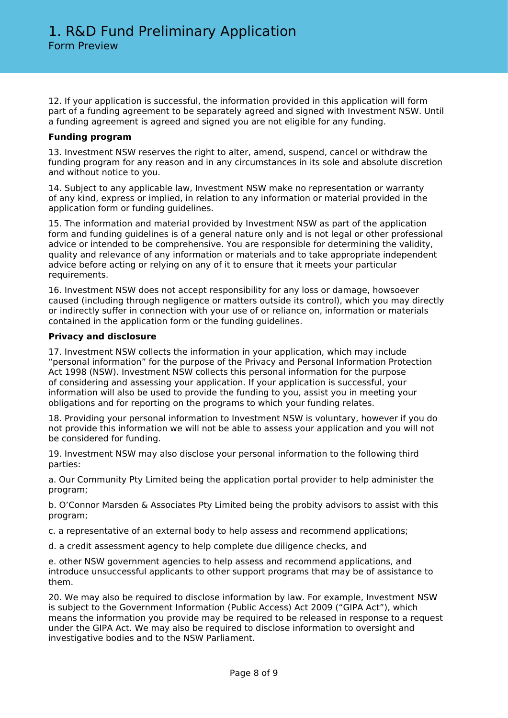12. If your application is successful, the information provided in this application will form part of a funding agreement to be separately agreed and signed with Investment NSW. Until a funding agreement is agreed and signed you are not eligible for any funding.

#### **Funding program**

13. Investment NSW reserves the right to alter, amend, suspend, cancel or withdraw the funding program for any reason and in any circumstances in its sole and absolute discretion and without notice to you.

14. Subject to any applicable law, Investment NSW make no representation or warranty of any kind, express or implied, in relation to any information or material provided in the application form or funding guidelines.

15. The information and material provided by Investment NSW as part of the application form and funding guidelines is of a general nature only and is not legal or other professional advice or intended to be comprehensive. You are responsible for determining the validity, quality and relevance of any information or materials and to take appropriate independent advice before acting or relying on any of it to ensure that it meets your particular requirements.

16. Investment NSW does not accept responsibility for any loss or damage, howsoever caused (including through negligence or matters outside its control), which you may directly or indirectly suffer in connection with your use of or reliance on, information or materials contained in the application form or the funding guidelines.

#### **Privacy and disclosure**

17. Investment NSW collects the information in your application, which may include "personal information" for the purpose of the Privacy and Personal Information Protection Act 1998 (NSW). Investment NSW collects this personal information for the purpose of considering and assessing your application. If your application is successful, your information will also be used to provide the funding to you, assist you in meeting your obligations and for reporting on the programs to which your funding relates.

18. Providing your personal information to Investment NSW is voluntary, however if you do not provide this information we will not be able to assess your application and you will not be considered for funding.

19. Investment NSW may also disclose your personal information to the following third parties:

a. Our Community Pty Limited being the application portal provider to help administer the program;

b. O'Connor Marsden & Associates Pty Limited being the probity advisors to assist with this program;

c. a representative of an external body to help assess and recommend applications;

d. a credit assessment agency to help complete due diligence checks, and

e. other NSW government agencies to help assess and recommend applications, and introduce unsuccessful applicants to other support programs that may be of assistance to them.

20. We may also be required to disclose information by law. For example, Investment NSW is subject to the Government Information (Public Access) Act 2009 ("GIPA Act"), which means the information you provide may be required to be released in response to a request under the GIPA Act. We may also be required to disclose information to oversight and investigative bodies and to the NSW Parliament.